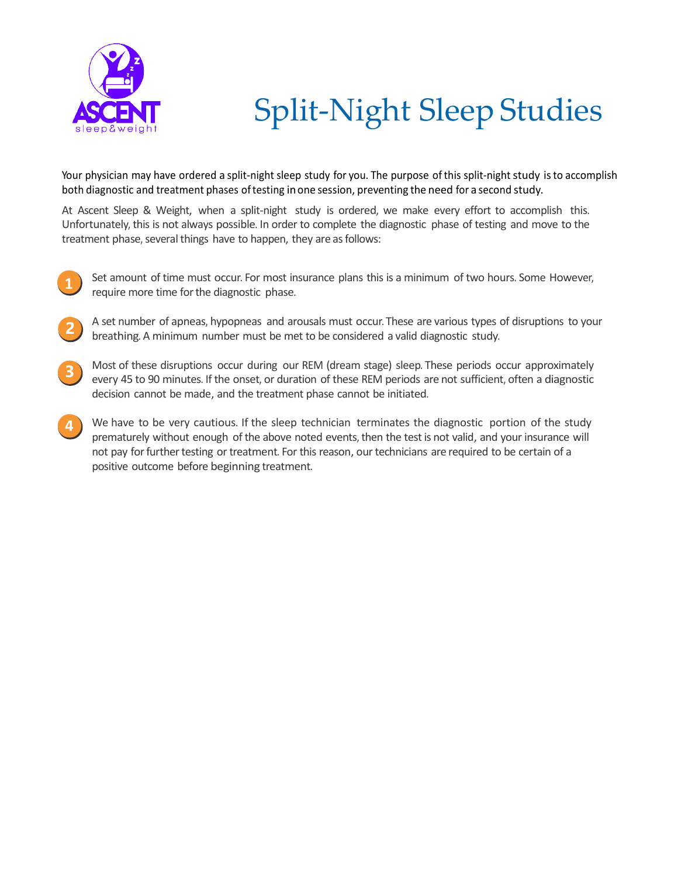

## Split-Night Sleep Studies

Your physician may have ordered a split-night sleep study for you. The purpose of this split-night study is to accomplish both diagnostic and treatment phases oftesting inone session, preventing the need for a second study.

At Ascent Sleep & Weight, when a split-night study is ordered, we make every effort to accomplish this. Unfortunately, this is not always possible. In order to complete the diagnostic phase of testing and move to the treatment phase, several things have to happen, they are as follows:

- **1** Set amount of time must occur. For most insurance plans this is a minimum of two hours. Some However, require more time for the diagnostic phase.
- **2** A set number of apneas, hypopneas and arousals must occur. These are various types of disruptions to your breathing. A minimum number must be met to be considered a valid diagnostic study.
- **3** Most of these disruptions occur during our REM (dream stage) sleep. These periods occur approximately every 45 to 90 minutes. If the onset, or duration of these REM periods are not sufficient, often a diagnostic decision cannot be made, and the treatment phase cannot be initiated.
- We have to be very cautious. If the sleep technician terminates the diagnostic portion of the study prematurely without enough of the above noted events, then the testis not valid, and your insurance will not pay for further testing or treatment. For this reason, our technicians are required to be certain of a positive outcome before beginning treatment.